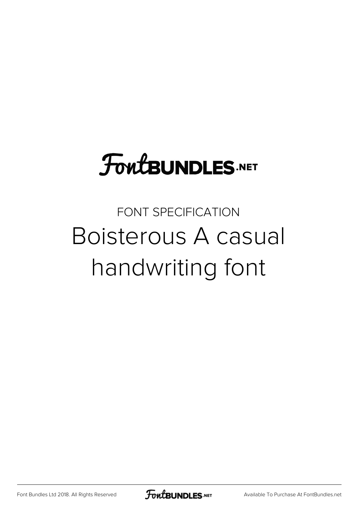# **FoutBUNDLES.NET**

### FONT SPECIFICATION Boisterous A casual handwriting font

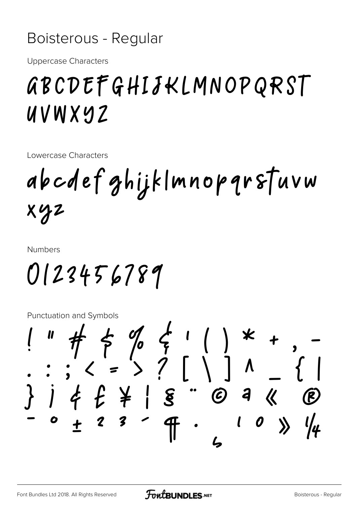#### Boisterous - Regular

**Uppercase Characters** 

# GBCDEFGHIJKLMNOPQRST UVWXYZ

Lowercase Characters

abcdefghijklmnopqrstuvw  $XYZ$ 

**Numbers** 

0123456789

**Punctuation and Symbols** 

 $j \notin f \not\models | \xi - \emptyset |$  a «  $\bigcirc$  $3<sup>2</sup>$  $\mathbf{l}$  $\begin{matrix} 0 & \lambda \end{matrix}$  $\overline{\mathbf{f}}$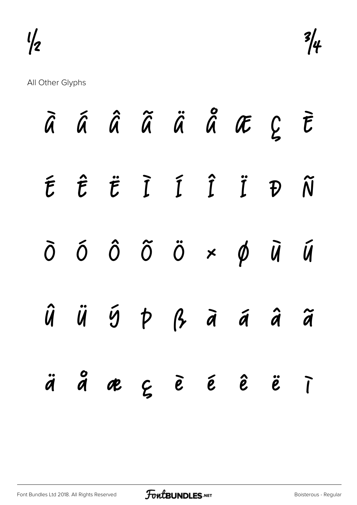

All Other Glyphs

|  |  |  | À Á Â Ã Ä Ä Å Æ Ç È                                                                    |  |
|--|--|--|----------------------------------------------------------------------------------------|--|
|  |  |  | É Ê Ë Ì Í Î Ï Đ Ñ                                                                      |  |
|  |  |  | $\delta$ $\delta$ $\delta$ $\ddot{o}$ $\ddot{o}$ $\times$ $\phi$ $\ddot{u}$ $\ddot{u}$ |  |
|  |  |  | $\hat{u}$ $\hat{u}$ $\hat{y}$ $\hat{p}$ $\hat{q}$ $\hat{a}$ $\hat{a}$ $\hat{a}$        |  |
|  |  |  | äååeçèéêë                                                                              |  |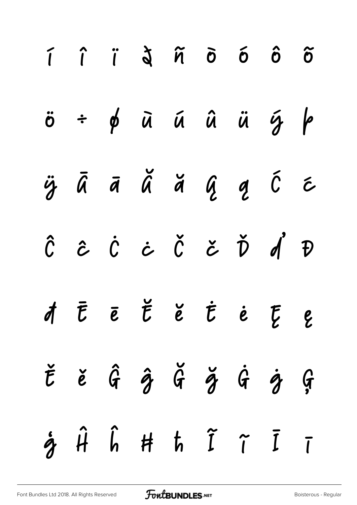|  |  |  | $\ddot{o}$ = $\phi$ $\ddot{a}$ $\ddot{a}$ $\ddot{a}$ $\ddot{a}$ $\ddot{a}$ $\ddot{b}$ $\phi$ |  |
|--|--|--|----------------------------------------------------------------------------------------------|--|
|  |  |  | ÿāā ă ă ą ą ć c                                                                              |  |
|  |  |  | Ĉ ĉ Ċ ċ Č č Ď ď Đ                                                                            |  |
|  |  |  | AĒĒĚĚĖĖĘ                                                                                     |  |
|  |  |  | $\check{t}$ ě $\hat{G}$ $\hat{g}$ $\check{G}$ $\check{g}$ $\hat{G}$ $\hat{g}$                |  |
|  |  |  | $\dot{\gamma}$ $\hat{H}$ $\hat{h}$ $\hat{H}$ $\hat{h}$ $\tilde{I}$ $\tilde{I}$ $\tilde{I}$   |  |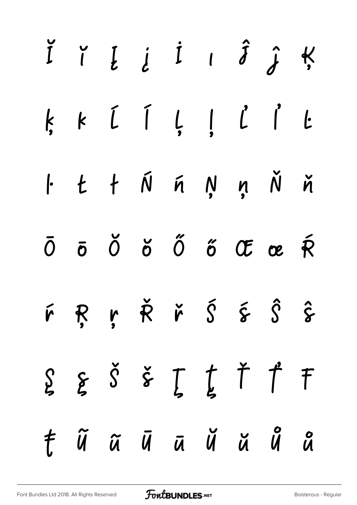|  | I I L L I I J J K                                                                                                                                                                                                                                                                                                                                                                    |  |  |  |
|--|--------------------------------------------------------------------------------------------------------------------------------------------------------------------------------------------------------------------------------------------------------------------------------------------------------------------------------------------------------------------------------------|--|--|--|
|  | $k k [i] {j l} [j]$                                                                                                                                                                                                                                                                                                                                                                  |  |  |  |
|  | $1 + i \leq n$ in the line                                                                                                                                                                                                                                                                                                                                                           |  |  |  |
|  | $\overline{0}$ $\overline{0}$ $\overline{0}$ $\overline{0}$ $\overline{0}$ $\overline{0}$ $\overline{0}$ $\overline{0}$ $\overline{0}$ $\overline{0}$ $\overline{0}$ $\overline{0}$ $\overline{0}$ $\overline{0}$ $\overline{0}$ $\overline{0}$ $\overline{0}$ $\overline{0}$ $\overline{0}$ $\overline{0}$ $\overline{0}$ $\overline{0}$ $\overline{0}$ $\overline{0}$ $\overline{$ |  |  |  |
|  | F R ŗ Ř ř Š š Ŝ ŝ                                                                                                                                                                                                                                                                                                                                                                    |  |  |  |
|  | $\S$ $\S$ $\delta$ $\check{s}$ $\int$ $\uparrow$ $\uparrow$ $\uparrow$                                                                                                                                                                                                                                                                                                               |  |  |  |
|  | t ũ ã ū ā ŭ ŭ ů å                                                                                                                                                                                                                                                                                                                                                                    |  |  |  |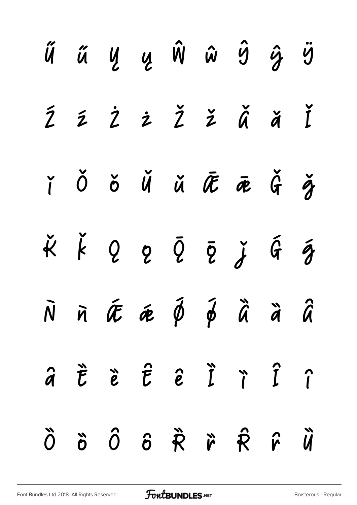|  | Ű ű Ų Ų Ŵ ŵ Ŷ ĝ Ÿ                                                                                                               |  |  |  |
|--|---------------------------------------------------------------------------------------------------------------------------------|--|--|--|
|  | ŹŹŻŻŽŽĂĂĬ                                                                                                                       |  |  |  |
|  | ř Ŏ ŏ Ŭ ŭ Æ Ē Ğ Ž                                                                                                               |  |  |  |
|  | $\check{\kappa} \check{\kappa} \varrho \varrho \tilde{\varrho} \tilde{\varrho} \check{\varrho} \check{\varrho} \check{\varrho}$ |  |  |  |
|  | $\tilde{N}$ $\tilde{n}$ $\tilde{\alpha}$ $\tilde{\phi}$ $\tilde{\phi}$ $\tilde{\alpha}$ $\tilde{\alpha}$ $\tilde{\alpha}$       |  |  |  |
|  | â t ë t e i r î r                                                                                                               |  |  |  |
|  | Ñ vi sh vi sh vi di                                                                                                             |  |  |  |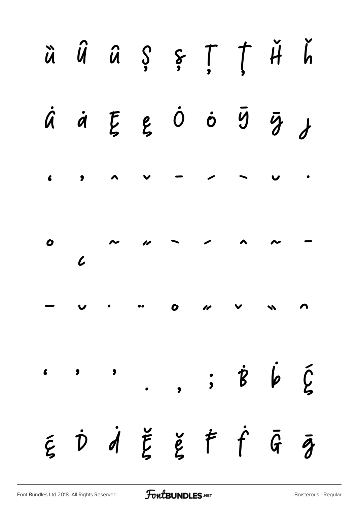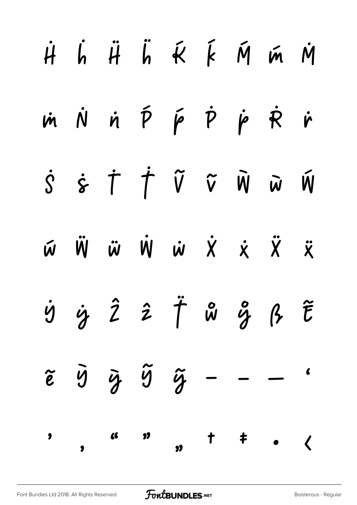|  |  | $\dot{H}$ $\dot{H}$ $\ddot{H}$ $\ddot{K}$ $\dot{K}$ $\dot{M}$ $\dot{M}$ $\dot{M}$                                                         |  |  |
|--|--|-------------------------------------------------------------------------------------------------------------------------------------------|--|--|
|  |  | m N n P p P p R r                                                                                                                         |  |  |
|  |  | $\dot{S} \quad \dot{\varepsilon} \quad \dot{\Gamma} \quad \dot{\Upsilon} \quad \tilde{V} \quad \tilde{W} \quad \tilde{W} \quad \tilde{W}$ |  |  |
|  |  | W W W W W X X X X                                                                                                                         |  |  |
|  |  | $\dot{y} \quad \dot{y} \quad \hat{z} \quad \hat{z} \quad \ddot{\uparrow} \quad \text{w} \quad \text{w} \quad \beta \quad \tilde{t}$       |  |  |
|  |  | $\tilde{e}$ $\tilde{y}$ $\tilde{y}$ $\tilde{y}$ - - -                                                                                     |  |  |
|  |  |                                                                                                                                           |  |  |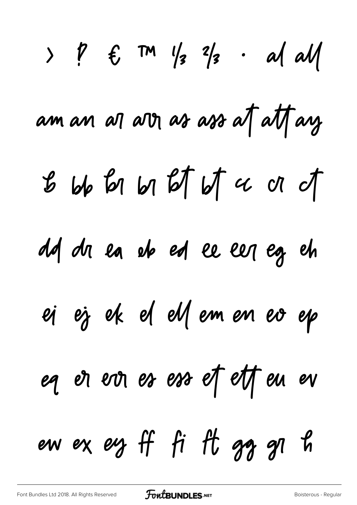$>$   $\rlap/v$   $\qquad$   $\qquad$   $\qquad$   $\qquad$   $\qquad$   $\qquad$   $\qquad$   $\qquad$   $\qquad$   $\qquad$   $\qquad$   $\qquad$   $\qquad$   $\qquad$   $\qquad$   $\qquad$   $\qquad$   $\qquad$   $\qquad$   $\qquad$   $\qquad$   $\qquad$   $\qquad$   $\qquad$   $\qquad$   $\qquad$   $\qquad$   $\qquad$   $\qquad$   $\qquad$   $\qquad$   $\qquad$   $\qquad$   $\qquad$   $\qquad$   $\cdot$  al all am an an am as ass at att ay  $b$  bb  $b$  bl  $b$   $\uparrow$  b  $\uparrow$   $\alpha$  or of dd dr ea eb ed ee eer eg eh ej ej ek el ellemen ev ep eq et evr es ess et ett eu ev ew ex eg ff fi ft gg gl h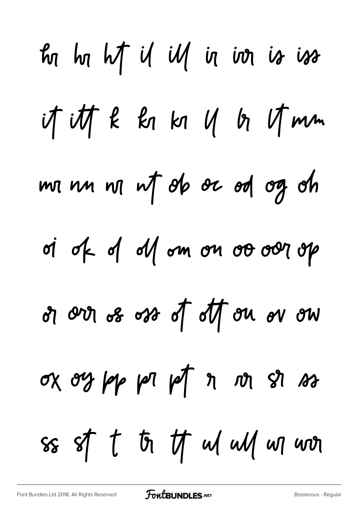